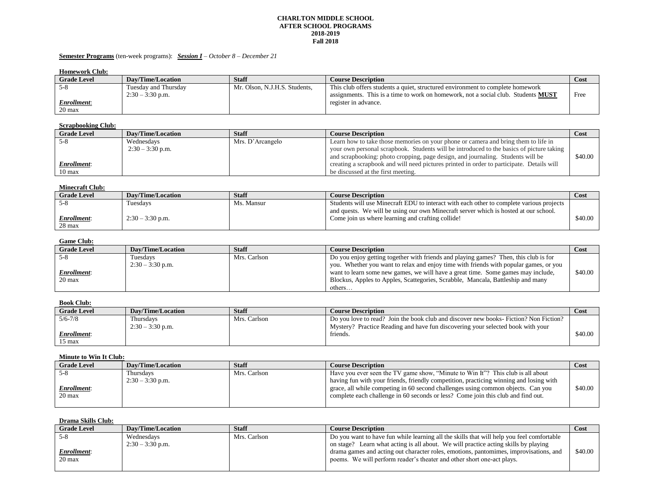#### **CHARLTON MIDDLE SCHOOL AFTER SCHOOL PROGRAMS 2018-2019 Fall 2018**

### **Semester Programs** (ten-week programs): *Session I – October 8 – December 21*

| <b>Homework Club:</b> |  |
|-----------------------|--|
|-----------------------|--|

| $\sim$             |                      |                               |                                                                                          |      |
|--------------------|----------------------|-------------------------------|------------------------------------------------------------------------------------------|------|
| <b>Grade Level</b> | Dav/Time/Location    | <b>Staff</b>                  | <b>Course Description</b>                                                                | Cost |
| <u>. ა</u>         | Tuesday and Thursday | Mr. Olson, N.J.H.S. Students. | This club offers students a quiet, structured environment to complete homework           |      |
|                    | $2:30 - 3:30$ p.m.   |                               | assignments. This is a time to work on homework, not a social club. Students <b>MUST</b> | Free |
| Enrollment:        |                      |                               | register in advance.                                                                     |      |
| 20 max             |                      |                               |                                                                                          |      |

# **Scrapbooking Club:**

| <b>Grade Level</b> | Dav/Time/Location | <b>Staff</b>     | <b>Course Description</b>                                                                 | Cost    |
|--------------------|-------------------|------------------|-------------------------------------------------------------------------------------------|---------|
| 5-8                | Wednesdavs        | Mrs. D'Arcangelo | Learn how to take those memories on your phone or camera and bring them to life in        |         |
|                    | $2:30-3:30$ p.m.  |                  | your own personal scrapbook. Students will be introduced to the basics of picture taking  |         |
|                    |                   |                  | and scrapbooking: photo cropping, page design, and journaling. Students will be           | \$40.00 |
| <u>Enrollment:</u> |                   |                  | creating a scrapbook and will need pictures printed in order to participate. Details will |         |
| 0 max              |                   |                  | be discussed at the first meeting.                                                        |         |

# **Minecraft Club:**

| <b>Grade Level</b> | Dav/Time/Location  | Staff      | <b>Course Description</b>                                                                | Cost    |
|--------------------|--------------------|------------|------------------------------------------------------------------------------------------|---------|
| - 5-X              | Tuesdavs           | Ms. Mansur | Students will use Minecraft EDU to interact with each other to complete various projects |         |
|                    |                    |            | and quests. We will be using our own Minecraft server which is hosted at our school.     |         |
| Enrollment:        | $2:30 - 3:30$ p.m. |            | Come join us where learning and crafting collide!                                        | \$40.00 |
| $28$ max           |                    |            |                                                                                          |         |

## **Game Club:**

| <b>Grade Level</b> | <b>Dav/Time/Location</b> | Staff        | <b>Course Description</b>                                                             | Cost    |
|--------------------|--------------------------|--------------|---------------------------------------------------------------------------------------|---------|
| $5 - 8$            | Tuesdavs                 | Mrs. Carlson | Do you enjoy getting together with friends and playing games? Then, this club is for  |         |
|                    | $2:30 - 3:30$ p.m.       |              | you. Whether you want to relax and enjoy time with friends with popular games, or you |         |
| Enrollment:        |                          |              | want to learn some new games, we will have a great time. Some games may include,      | \$40.00 |
| 20 max             |                          |              | Blockus, Apples to Apples, Scattegories, Scrabble, Mancala, Battleship and many       |         |
|                    |                          |              | others                                                                                |         |

# **Book Club:**

| <b>Grade Level</b> | Dav/Time/Location  | <b>Staff</b> | <b>Course Description</b>                                                             | Cost    |
|--------------------|--------------------|--------------|---------------------------------------------------------------------------------------|---------|
| $5/6 - 7/8$        | l'hursdavs         | Mrs. Carlson | Do you love to read? Join the book club and discover new books- Fiction? Non Fiction? |         |
|                    | $2:30 - 3:30$ p.m. |              | Mystery? Practice Reading and have fun discovering your selected book with your       |         |
| Enrollment:        |                    |              | friends.                                                                              | \$40.00 |
| 15 max             |                    |              |                                                                                       |         |

#### **Minute to Win It Club:**

| <b>Grade Level</b> | <b>Dav/Time/Location</b> | <b>Staff</b> | <b>Course Description</b>                                                              | Cost    |
|--------------------|--------------------------|--------------|----------------------------------------------------------------------------------------|---------|
|                    | Thursdays                | Mrs. Carlson | Have you ever seen the TV game show, "Minute to Win It"? This club is all about        |         |
|                    | $2:30 - 3:30$ p.m.       |              | having fun with your friends, friendly competition, practicing winning and losing with |         |
| <u>Enrollment:</u> |                          |              | grace, all while competing in 60 second challenges using common objects. Can you       | \$40.00 |
| 20 max             |                          |              | complete each challenge in 60 seconds or less? Come join this club and find out.       |         |
|                    |                          |              |                                                                                        |         |

# **Drama Skills Club:**

| <b>Grade Level</b> | Dav/Time/Location  | <b>Staff</b> | <b>Course Description</b>                                                                 | Cost    |
|--------------------|--------------------|--------------|-------------------------------------------------------------------------------------------|---------|
| $5-8$              | Wednesdavs         | Mrs. Carlson | Do you want to have fun while learning all the skills that will help you feel comfortable |         |
|                    | $2:30 - 3:30$ p.m. |              | on stage? Learn what acting is all about. We will practice acting skills by playing       |         |
| <b>Enrollment:</b> |                    |              | drama games and acting out character roles, emotions, pantomimes, improvisations, and     | \$40.00 |
| $20 \text{ max}$   |                    |              | poems. We will perform reader's theater and other short one-act plays.                    |         |
|                    |                    |              |                                                                                           |         |